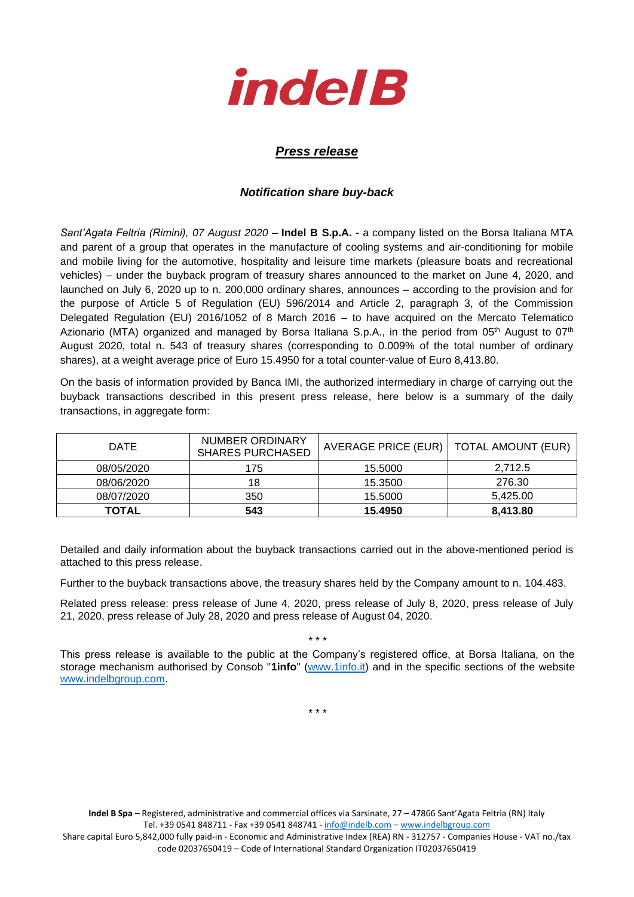

## *Press release*

## *Notification share buy-back*

*Sant'Agata Feltria (Rimini), 07 August 2020* – **Indel B S.p.A.** - a company listed on the Borsa Italiana MTA and parent of a group that operates in the manufacture of cooling systems and air-conditioning for mobile and mobile living for the automotive, hospitality and leisure time markets (pleasure boats and recreational vehicles) – under the buyback program of treasury shares announced to the market on June 4, 2020, and launched on July 6, 2020 up to n. 200,000 ordinary shares, announces – according to the provision and for the purpose of Article 5 of Regulation (EU) 596/2014 and Article 2, paragraph 3, of the Commission Delegated Regulation (EU) 2016/1052 of 8 March 2016 – to have acquired on the Mercato Telematico Azionario (MTA) organized and managed by Borsa Italiana S.p.A., in the period from 05<sup>th</sup> August to 07<sup>th</sup> August 2020, total n. 543 of treasury shares (corresponding to 0.009% of the total number of ordinary shares), at a weight average price of Euro 15.4950 for a total counter-value of Euro 8,413.80.

On the basis of information provided by Banca IMI, the authorized intermediary in charge of carrying out the buyback transactions described in this present press release, here below is a summary of the daily transactions, in aggregate form:

| <b>DATE</b> | NUMBER ORDINARY<br><b>SHARES PURCHASED</b> | AVERAGE PRICE (EUR)   TOTAL AMOUNT (EUR) |          |  |
|-------------|--------------------------------------------|------------------------------------------|----------|--|
| 08/05/2020  | 175                                        | 15.5000                                  | 2.712.5  |  |
| 08/06/2020  | 18                                         | 15.3500                                  | 276.30   |  |
| 08/07/2020  | 350                                        | 15.5000                                  | 5,425.00 |  |
| TOTAL       | 543                                        | 15.4950                                  | 8,413.80 |  |

Detailed and daily information about the buyback transactions carried out in the above-mentioned period is attached to this press release.

Further to the buyback transactions above, the treasury shares held by the Company amount to n. 104.483.

Related press release: press release of June 4, 2020, press release of July 8, 2020, press release of July 21, 2020, press release of July 28, 2020 and press release of August 04, 2020.

This press release is available to the public at the Company's registered office, at Borsa Italiana, on the storage mechanism authorised by Consob "**1info**" [\(www.1info.it\)](file:///C:/Users/ddelietovollaro/AppData/Local/Microsoft/Windows/INetCache/Content.Outlook/T87B94UR/www.1info.it) and in the specific sections of the website [www.indelbgroup.com.](http://www.indelbgroup.com/)

\* \* \*

\* \* \*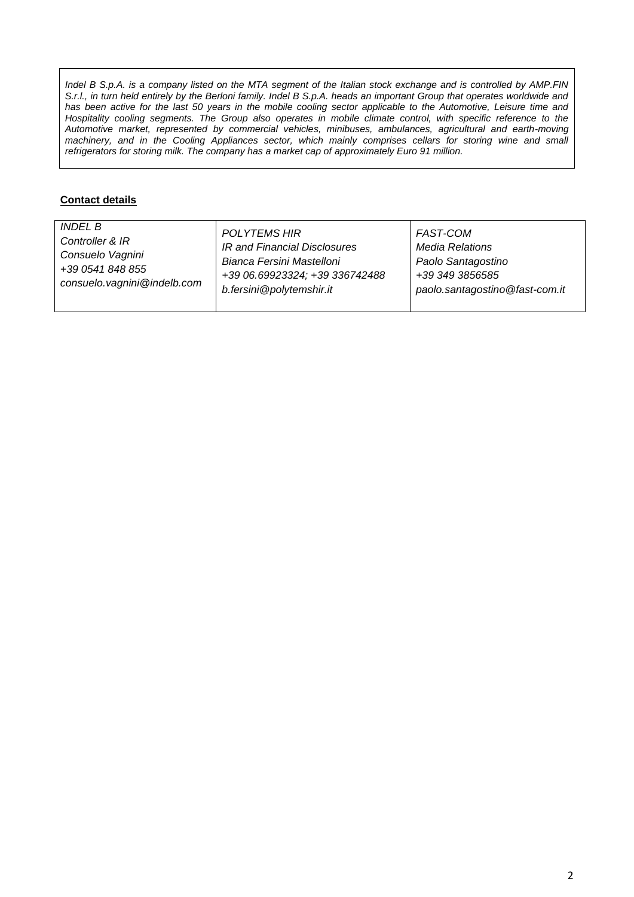*Indel B S.p.A. is a company listed on the MTA segment of the Italian stock exchange and is controlled by AMP.FIN S.r.l., in turn held entirely by the Berloni family. Indel B S.p.A. heads an important Group that operates worldwide and* has been active for the last 50 years in the mobile cooling sector applicable to the Automotive, Leisure time and Hospitality cooling segments. The Group also operates in mobile climate control, with specific reference to the *Automotive market, represented by commercial vehicles, minibuses, ambulances, agricultural and earth-moving machinery, and in the Cooling Appliances sector, which mainly comprises cellars for storing wine and small refrigerators for storing milk. The company has a market cap of approximately Euro 91 million.*

## **Contact details**

| <b>INDEL B</b>              | <b>POLYTEMS HIR</b>            | FAST-COM                       |
|-----------------------------|--------------------------------|--------------------------------|
| Controller & IR             | IR and Financial Disclosures   | <b>Media Relations</b>         |
| Consuelo Vagnini            | Bianca Fersini Mastelloni      | Paolo Santagostino             |
| +39 0541 848 855            | +39 06.69923324; +39 336742488 | +39 349 3856585                |
| consuelo.vagnini@indelb.com | b.fersini@polytemshir.it       | paolo.santagostino@fast-com.it |
|                             |                                |                                |